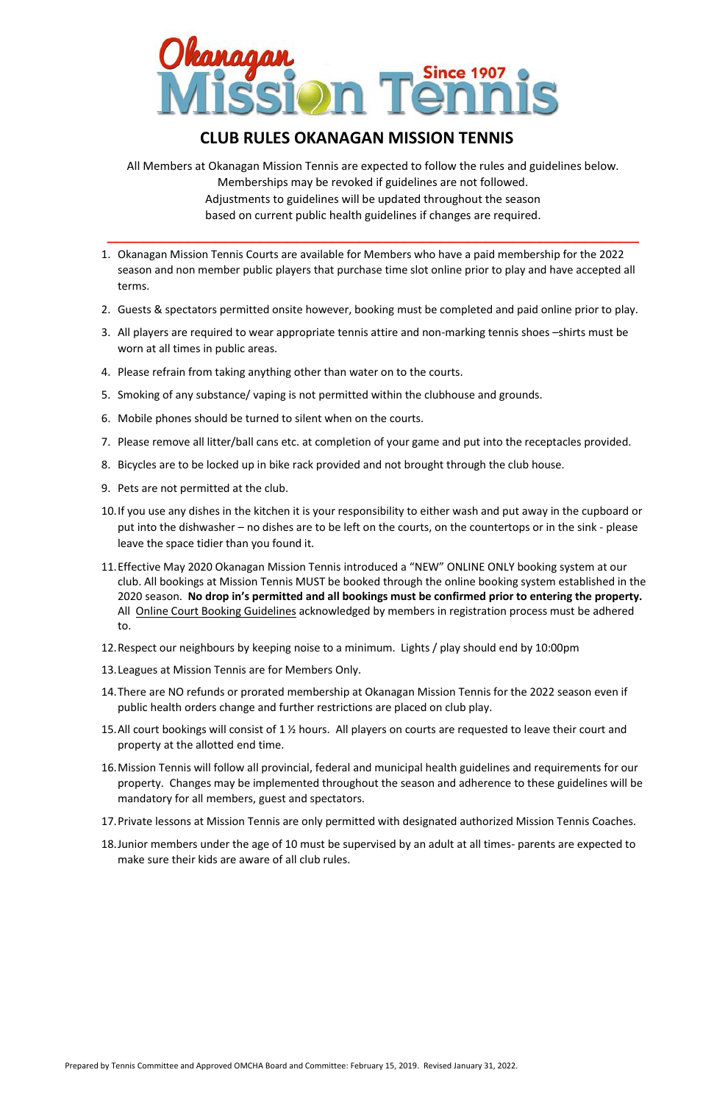Prepared by Tennis Committee and Approved OMCHA Board and Committee: February 15, 2019. Revised January 31, 2022.



## **CLUB RULES OKANAGAN MISSION TENNIS**

All Members at Okanagan Mission Tennis are expected to follow the rules and guidelines below. Memberships may be revoked if guidelines are not followed. Adjustments to guidelines will be updated throughout the season based on current public health guidelines if changes are required.

**\_\_\_\_\_\_\_\_\_\_\_\_\_\_\_\_\_\_\_\_\_\_\_\_\_\_\_\_\_\_\_\_\_\_\_\_\_\_\_\_\_\_\_\_\_\_\_\_\_\_\_\_\_\_\_\_\_\_\_**

- 1. Okanagan Mission Tennis Courts are available for Members who have a paid membership for the 2022 season and non member public players that purchase time slot online prior to play and have accepted all terms.
- 2. Guests & spectators permitted onsite however, booking must be completed and paid online prior to play.
- 3. All players are required to wear appropriate tennis attire and non-marking tennis shoes –shirts must be worn at all times in public areas.
- 4. Please refrain from taking anything other than water on to the courts.
- 5. Smoking of any substance/ vaping is not permitted within the clubhouse and grounds.
- 6. Mobile phones should be turned to silent when on the courts.
- 7. Please remove all litter/ball cans etc. at completion of your game and put into the receptacles provided.
- 8. Bicycles are to be locked up in bike rack provided and not brought through the club house.
- 9. Pets are not permitted at the club.
- 10.If you use any dishes in the kitchen it is your responsibility to either wash and put away in the cupboard or put into the dishwasher – no dishes are to be left on the courts, on the countertops or in the sink - please leave the space tidier than you found it.
- 11.Effective May 2020 Okanagan Mission Tennis introduced a "NEW" ONLINE ONLY booking system at our club. All bookings at Mission Tennis MUST be booked through the online booking system established in the 2020 season. **No drop in's permitted and all bookings must be confirmed prior to entering the property.** All [Online Court Booking Guidelines](http://www.okmissiontennis.org/tournaments-306946-761205.html) acknowledged by members in registration process must be adhered to.
- 12.Respect our neighbours by keeping noise to a minimum. Lights / play should end by 10:00pm
- 13.Leagues at Mission Tennis are for Members Only.
- 14.There are NO refunds or prorated membership at Okanagan Mission Tennis for the 2022 season even if public health orders change and further restrictions are placed on club play.
- 15.All court bookings will consist of 1 ½ hours. All players on courts are requested to leave their court and property at the allotted end time.
- 16.Mission Tennis will follow all provincial, federal and municipal health guidelines and requirements for our property. Changes may be implemented throughout the season and adherence to these guidelines will be mandatory for all members, guest and spectators.

17.Private lessons at Mission Tennis are only permitted with designated authorized Mission Tennis Coaches.

18.Junior members under the age of 10 must be supervised by an adult at all times- parents are expected to make sure their kids are aware of all club rules.